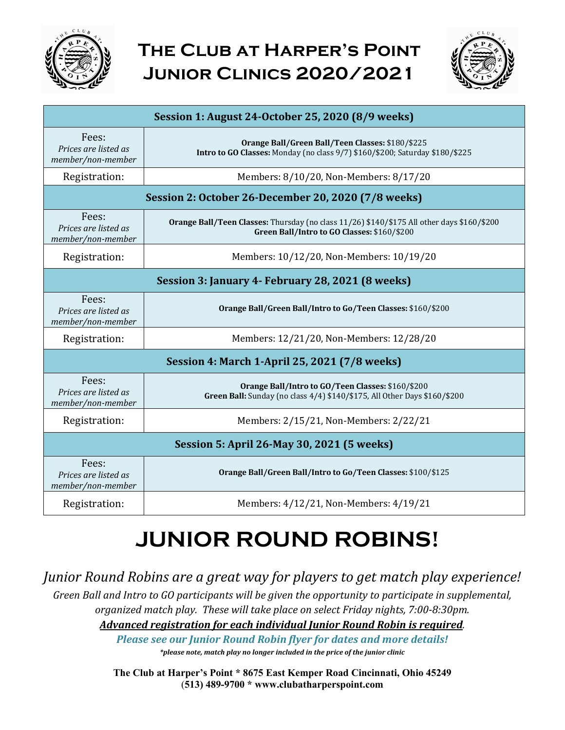

## **The Club at Harper's Point Junior Clinics 2020/2021**



| Session 1: August 24-October 25, 2020 (8/9 weeks)   |                                                                                                                                           |  |  |
|-----------------------------------------------------|-------------------------------------------------------------------------------------------------------------------------------------------|--|--|
| Fees:<br>Prices are listed as<br>member/non-member  | Orange Ball/Green Ball/Teen Classes: \$180/\$225<br>Intro to GO Classes: Monday (no class 9/7) \$160/\$200; Saturday \$180/\$225          |  |  |
| Registration:                                       | Members: 8/10/20, Non-Members: 8/17/20                                                                                                    |  |  |
| Session 2: October 26-December 20, 2020 (7/8 weeks) |                                                                                                                                           |  |  |
| Fees:<br>Prices are listed as<br>member/non-member  | Orange Ball/Teen Classes: Thursday (no class 11/26) \$140/\$175 All other days \$160/\$200<br>Green Ball/Intro to GO Classes: \$160/\$200 |  |  |
| Registration:                                       | Members: 10/12/20, Non-Members: 10/19/20                                                                                                  |  |  |
| Session 3: January 4- February 28, 2021 (8 weeks)   |                                                                                                                                           |  |  |
| Fees:<br>Prices are listed as<br>member/non-member  | Orange Ball/Green Ball/Intro to Go/Teen Classes: \$160/\$200                                                                              |  |  |
| Registration:                                       | Members: 12/21/20, Non-Members: 12/28/20                                                                                                  |  |  |
| Session 4: March 1-April 25, 2021 (7/8 weeks)       |                                                                                                                                           |  |  |
| Fees:<br>Prices are listed as<br>member/non-member  | Orange Ball/Intro to GO/Teen Classes: \$160/\$200<br>Green Ball: Sunday (no class 4/4) \$140/\$175, All Other Days \$160/\$200            |  |  |
| Registration:                                       | Members: 2/15/21, Non-Members: 2/22/21                                                                                                    |  |  |
| Session 5: April 26-May 30, 2021 (5 weeks)          |                                                                                                                                           |  |  |
| Fees:<br>Prices are listed as<br>member/non-member  | Orange Ball/Green Ball/Intro to Go/Teen Classes: \$100/\$125                                                                              |  |  |
| Registration:                                       | Members: 4/12/21, Non-Members: 4/19/21                                                                                                    |  |  |

## **JUNIOR ROUND ROBINS!**

### *Junior Round Robins are a great way for players to get match play experience!*

*Green Ball and Intro to GO participants will be given the opportunity to participate in supplemental, organized match play. These will take place on select Friday nights, 7:00-8:30pm.*

*Advanced registration for each individual Junior Round Robin is required.* 

**Please see our Junior Round Robin flyer for dates and more details!** *\*please note, match play no longer included in the price of the junior clinic*

**The Club at Harper's Point \* 8675 East Kemper Road Cincinnati, Ohio 45249**  (**513) 489-9700 \* www.clubatharperspoint.com**